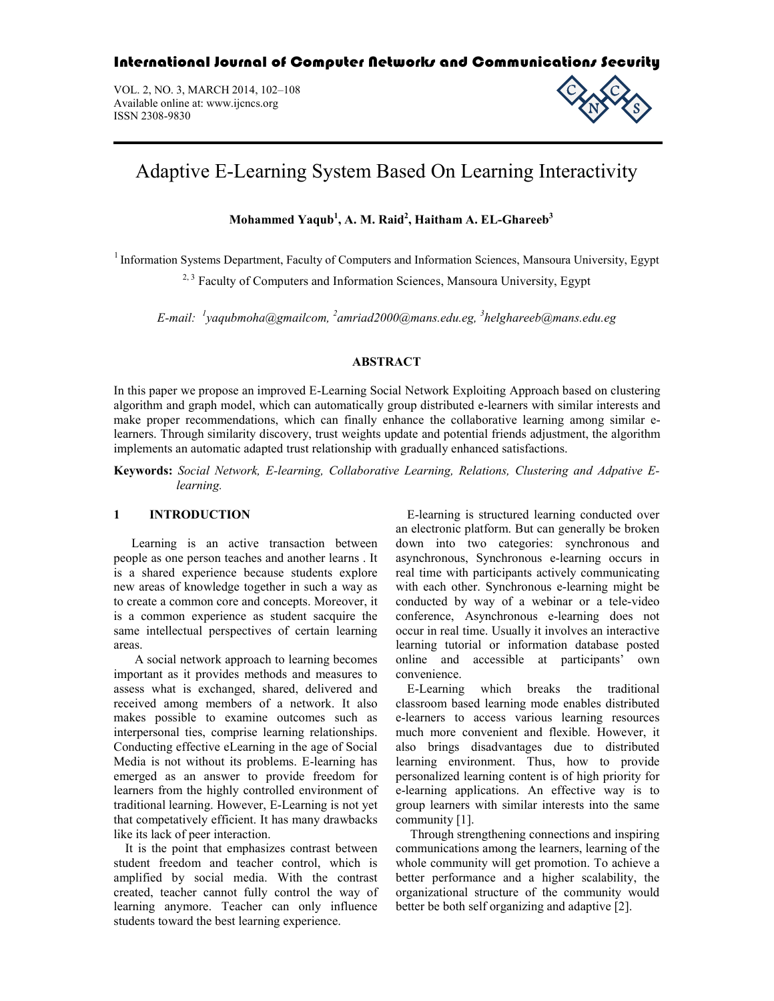VOL. 2, NO. 3, MARCH 2014, 102–108 Available online at: www.ijcncs.org ISSN 2308-9830



# Adaptive E-Learning System Based On Learning Interactivity

**Mohammed Yaqub<sup>1</sup> , A. M. Raid2 , Haitham A. EL-Ghareeb3**

<sup>1</sup> Information Systems Department, Faculty of Computers and Information Sciences, Mansoura University, Egypt

<sup>2, 3</sup> Faculty of Computers and Information Sciences, Mansoura University, Egypt

*E-mail: <sup>1</sup> yaqubmoha@gmailcom, <sup>2</sup> amriad2000@mans.edu.eg, <sup>3</sup> helghareeb@mans.edu.eg*

# **ABSTRACT**

In this paper we propose an improved E-Learning Social Network Exploiting Approach based on clustering algorithm and graph model, which can automatically group distributed e-learners with similar interests and make proper recommendations, which can finally enhance the collaborative learning among similar elearners. Through similarity discovery, trust weights update and potential friends adjustment, the algorithm implements an automatic adapted trust relationship with gradually enhanced satisfactions.

**Keywords:** *Social Network, E-learning, Collaborative Learning, Relations, Clustering and Adpative Elearning.*

# **1 INTRODUCTION**

 Learning is an active transaction between people as one person teaches and another learns . It is a shared experience because students explore new areas of knowledge together in such a way as to create a common core and concepts. Moreover, it is a common experience as student sacquire the same intellectual perspectives of certain learning areas.

 A social network approach to learning becomes important as it provides methods and measures to assess what is exchanged, shared, delivered and received among members of a network. It also makes possible to examine outcomes such as interpersonal ties, comprise learning relationships. Conducting effective eLearning in the age of Social Media is not without its problems. E-learning has emerged as an answer to provide freedom for learners from the highly controlled environment of traditional learning. However, E-Learning is not yet that competatively efficient. It has many drawbacks like its lack of peer interaction.

It is the point that emphasizes contrast between student freedom and teacher control, which is amplified by social media. With the contrast created, teacher cannot fully control the way of learning anymore. Teacher can only influence students toward the best learning experience.

E-learning is structured learning conducted over an electronic platform. But can generally be broken down into two categories: synchronous and asynchronous, Synchronous e-learning occurs in real time with participants actively communicating with each other. Synchronous e-learning might be conducted by way of a webinar or a tele-video conference, Asynchronous e-learning does not occur in real time. Usually it involves an interactive learning tutorial or information database posted online and accessible at participants' own convenience.

E-Learning which breaks the traditional classroom based learning mode enables distributed e-learners to access various learning resources much more convenient and flexible. However, it also brings disadvantages due to distributed learning environment. Thus, how to provide personalized learning content is of high priority for e-learning applications. An effective way is to group learners with similar interests into the same community [1].

Through strengthening connections and inspiring communications among the learners, learning of the whole community will get promotion. To achieve a better performance and a higher scalability, the organizational structure of the community would better be both self organizing and adaptive [2].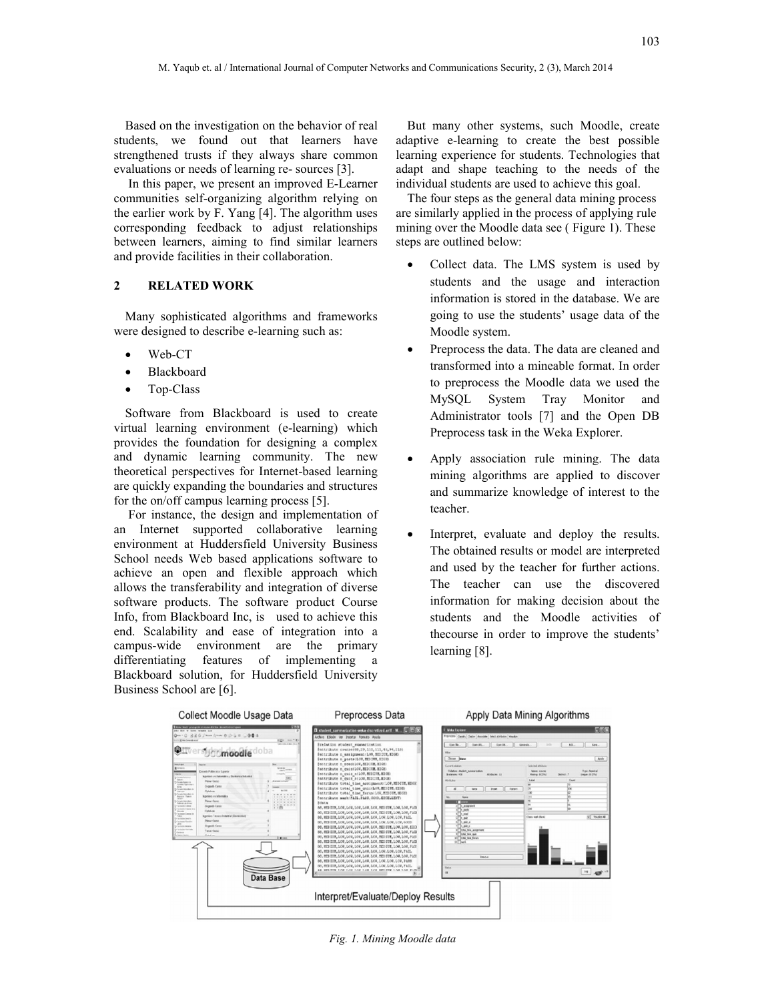Based on the investigation on the behavior of real students, we found out that learners have strengthened trusts if they always share common evaluations or needs of learning re- sources [3].

In this paper, we present an improved E-Learner communities self-organizing algorithm relying on the earlier work by F. Yang [4]. The algorithm uses corresponding feedback to adjust relationships between learners, aiming to find similar learners and provide facilities in their collaboration.

### **2 RELATED WORK**

Many sophisticated algorithms and frameworks were designed to describe e-learning such as:

- Web-CT
- Blackboard
- Top-Class

Software from Blackboard is used to create virtual learning environment (e-learning) which provides the foundation for designing a complex and dynamic learning community. The new theoretical perspectives for Internet-based learning are quickly expanding the boundaries and structures for the on/off campus learning process [5].

For instance, the design and implementation of an Internet supported collaborative learning environment at Huddersfield University Business School needs Web based applications software to achieve an open and flexible approach which allows the transferability and integration of diverse software products. The software product Course Info, from Blackboard Inc, is used to achieve this end. Scalability and ease of integration into a campus-wide environment are the primary differentiating features of implementing a Blackboard solution, for Huddersfield University Business School are [6].

But many other systems, such Moodle, create adaptive e-learning to create the best possible learning experience for students. Technologies that adapt and shape teaching to the needs of the individual students are used to achieve this goal.

The four steps as the general data mining process are similarly applied in the process of applying rule mining over the Moodle data see ( Figure 1). These steps are outlined below:

- Collect data. The LMS system is used by students and the usage and interaction information is stored in the database. We are going to use the students' usage data of the Moodle system.
- Preprocess the data. The data are cleaned and transformed into a mineable format. In order to preprocess the Moodle data we used the MySQL System Tray Monitor and Administrator tools [7] and the Open DB Preprocess task in the Weka Explorer.
- Apply association rule mining. The data mining algorithms are applied to discover and summarize knowledge of interest to the teacher.
- Interpret, evaluate and deploy the results. The obtained results or model are interpreted and used by the teacher for further actions. The teacher can use the discovered information for making decision about the students and the Moodle activities of thecourse in order to improve the students' learning [8].



*Fig. 1. Mining Moodle data*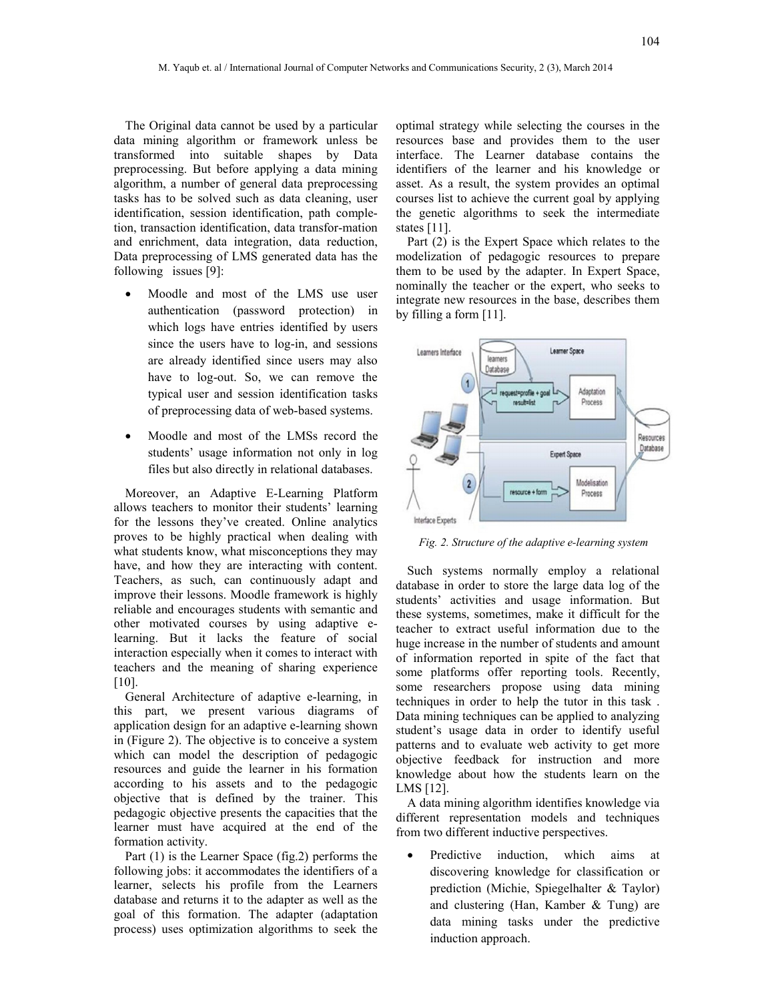The Original data cannot be used by a particular data mining algorithm or framework unless be transformed into suitable shapes by Data preprocessing. But before applying a data mining algorithm, a number of general data preprocessing tasks has to be solved such as data cleaning, user identification, session identification, path completion, transaction identification, data transfor-mation and enrichment, data integration, data reduction, Data preprocessing of LMS generated data has the following issues [9]:

- Moodle and most of the LMS use user authentication (password protection) in which logs have entries identified by users since the users have to log-in, and sessions are already identified since users may also have to log-out. So, we can remove the typical user and session identification tasks of preprocessing data of web-based systems.
- Moodle and most of the LMSs record the students' usage information not only in log files but also directly in relational databases.

Moreover, an Adaptive E-Learning Platform allows teachers to monitor their students' learning for the lessons they've created. Online analytics proves to be highly practical when dealing with what students know, what misconceptions they may have, and how they are interacting with content. Teachers, as such, can continuously adapt and improve their lessons. Moodle framework is highly reliable and encourages students with semantic and other motivated courses by using adaptive elearning. But it lacks the feature of social interaction especially when it comes to interact with teachers and the meaning of sharing experience [10].

General Architecture of adaptive e-learning, in this part, we present various diagrams of application design for an adaptive e-learning shown in (Figure 2). The objective is to conceive a system which can model the description of pedagogic resources and guide the learner in his formation according to his assets and to the pedagogic objective that is defined by the trainer. This pedagogic objective presents the capacities that the learner must have acquired at the end of the formation activity.

Part (1) is the Learner Space (fig.2) performs the following jobs: it accommodates the identifiers of a learner, selects his profile from the Learners database and returns it to the adapter as well as the goal of this formation. The adapter (adaptation process) uses optimization algorithms to seek the

optimal strategy while selecting the courses in the resources base and provides them to the user interface. The Learner database contains the identifiers of the learner and his knowledge or asset. As a result, the system provides an optimal courses list to achieve the current goal by applying the genetic algorithms to seek the intermediate states [11].

Part (2) is the Expert Space which relates to the modelization of pedagogic resources to prepare them to be used by the adapter. In Expert Space, nominally the teacher or the expert, who seeks to integrate new resources in the base, describes them by filling a form [11].



*Fig. 2. Structure of the adaptive e-learning system*

Such systems normally employ a relational database in order to store the large data log of the students' activities and usage information. But these systems, sometimes, make it difficult for the teacher to extract useful information due to the huge increase in the number of students and amount of information reported in spite of the fact that some platforms offer reporting tools. Recently, some researchers propose using data mining techniques in order to help the tutor in this task . Data mining techniques can be applied to analyzing student's usage data in order to identify useful patterns and to evaluate web activity to get more objective feedback for instruction and more knowledge about how the students learn on the LMS [12].

A data mining algorithm identifies knowledge via different representation models and techniques from two different inductive perspectives.

 Predictive induction, which aims at discovering knowledge for classification or prediction (Michie, Spiegelhalter & Taylor) and clustering (Han, Kamber & Tung) are data mining tasks under the predictive induction approach.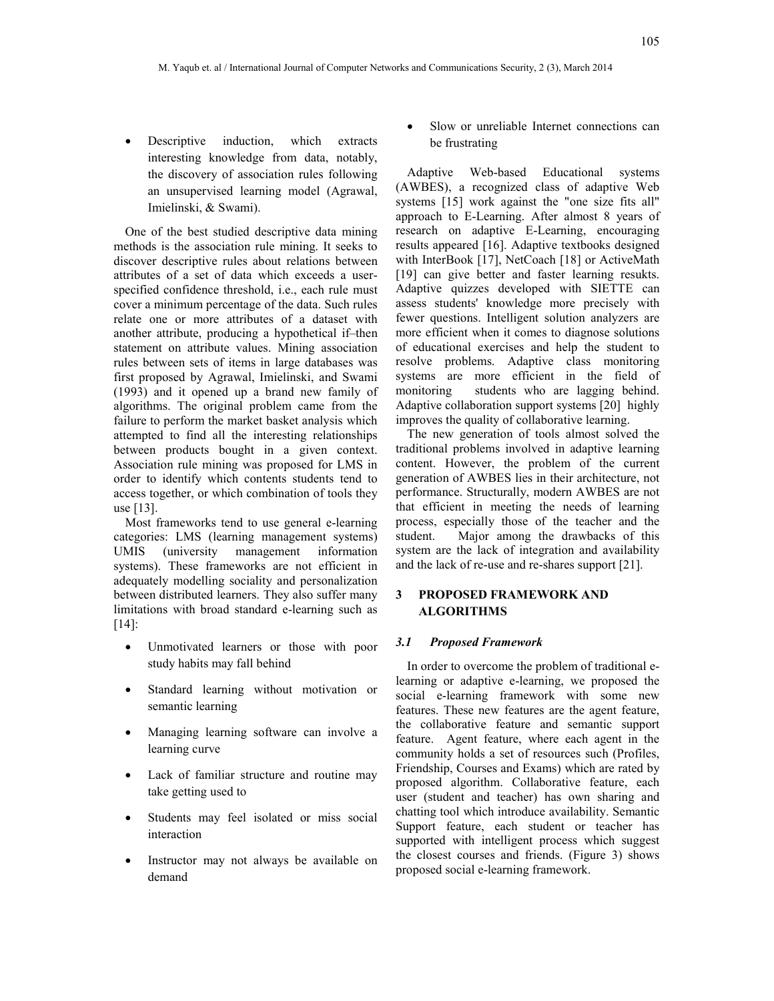Descriptive induction, which extracts interesting knowledge from data, notably, the discovery of association rules following an unsupervised learning model (Agrawal, Imielinski, & Swami).

One of the best studied descriptive data mining methods is the association rule mining. It seeks to discover descriptive rules about relations between attributes of a set of data which exceeds a userspecified confidence threshold, i.e., each rule must cover a minimum percentage of the data. Such rules relate one or more attributes of a dataset with another attribute, producing a hypothetical if–then statement on attribute values. Mining association rules between sets of items in large databases was first proposed by Agrawal, Imielinski, and Swami (1993) and it opened up a brand new family of algorithms. The original problem came from the failure to perform the market basket analysis which attempted to find all the interesting relationships between products bought in a given context. Association rule mining was proposed for LMS in order to identify which contents students tend to access together, or which combination of tools they use [13].

Most frameworks tend to use general e-learning categories: LMS (learning management systems) UMIS (university management information systems). These frameworks are not efficient in adequately modelling sociality and personalization between distributed learners. They also suffer many limitations with broad standard e-learning such as [14]:

- Unmotivated learners or those with poor study habits may fall behind
- Standard learning without motivation or semantic learning
- Managing learning software can involve a learning curve
- Lack of familiar structure and routine may take getting used to
- Students may feel isolated or miss social interaction
- Instructor may not always be available on demand

 Slow or unreliable Internet connections can be frustrating

Adaptive Web-based Educational systems (AWBES), a recognized class of adaptive Web systems [15] work against the "one size fits all" approach to E-Learning. After almost 8 years of research on adaptive E-Learning, encouraging results appeared [16]. Adaptive textbooks designed with InterBook [17], NetCoach [18] or ActiveMath [19] can give better and faster learning resukts. Adaptive quizzes developed with SIETTE can assess students' knowledge more precisely with fewer questions. Intelligent solution analyzers are more efficient when it comes to diagnose solutions of educational exercises and help the student to resolve problems. Adaptive class monitoring systems are more efficient in the field of monitoring students who are lagging behind. Adaptive collaboration support systems [20] highly improves the quality of collaborative learning.

The new generation of tools almost solved the traditional problems involved in adaptive learning content. However, the problem of the current generation of AWBES lies in their architecture, not performance. Structurally, modern AWBES are not that efficient in meeting the needs of learning process, especially those of the teacher and the student. Major among the drawbacks of this system are the lack of integration and availability and the lack of re-use and re-shares support [21].

### **3 PROPOSED FRAMEWORK AND ALGORITHMS**

#### *3.1 Proposed Framework*

In order to overcome the problem of traditional elearning or adaptive e-learning, we proposed the social e-learning framework with some new features. These new features are the agent feature, the collaborative feature and semantic support feature. Agent feature, where each agent in the community holds a set of resources such (Profiles, Friendship, Courses and Exams) which are rated by proposed algorithm. Collaborative feature, each user (student and teacher) has own sharing and chatting tool which introduce availability. Semantic Support feature, each student or teacher has supported with intelligent process which suggest the closest courses and friends. (Figure 3) shows proposed social e-learning framework.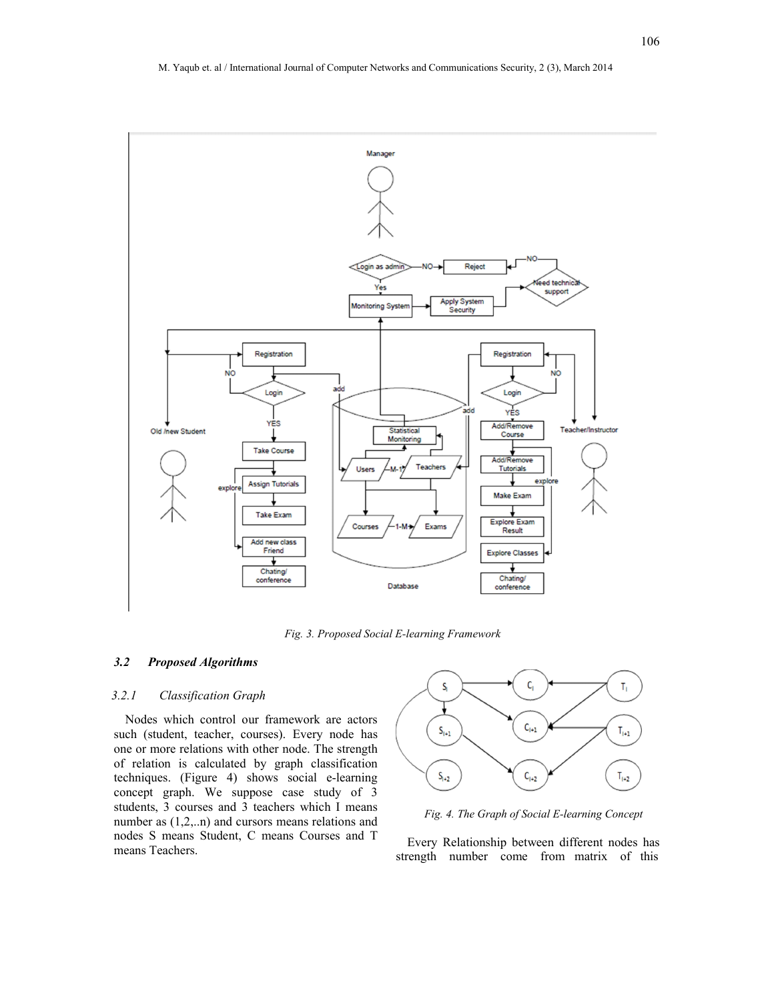

*Fig. 3. Proposed Social E-learning Framework*

#### *3.2 Proposed Algorithms*

#### *3.2.1 Classification Graph*

Nodes which control our framework are actors such (student, teacher, courses). Every node has one or more relations with other node. The strength of relation is calculated by graph classification techniques. (Figure 4) shows social e-learning concept graph. We suppose case study of 3 students, 3 courses and 3 teachers which I means number as (1,2,..n) and cursors means relations and nodes S means Student, C means Courses and T means Teachers.



*Fig. 4. The Graph of Social E-learning Concept*

Every Relationship between different nodes has strength number come from matrix of this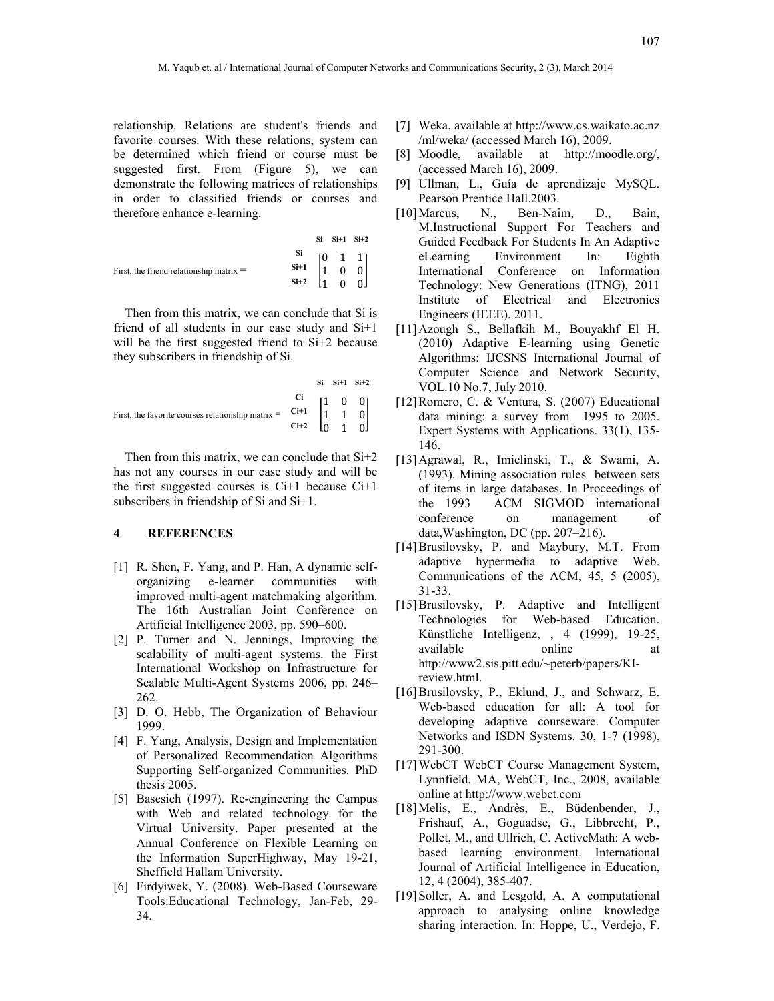relationship. Relations are student's friends and favorite courses. With these relations, system can be determined which friend or course must be suggested first. From (Figure 5), we can demonstrate the following matrices of relationships in order to classified friends or courses and therefore enhance e-learning.

|                                           |                                                                              | $Si$ $Si+1$ $Si+2$ |  |
|-------------------------------------------|------------------------------------------------------------------------------|--------------------|--|
| First, the friend relationship matrix $=$ | $\begin{bmatrix} 1 & 1 \\ 1 & 0 & 0 \\ 1 & 0 & 0 \\ 1 & 0 & 0 \end{bmatrix}$ |                    |  |

Then from this matrix, we can conclude that Si is friend of all students in our case study and Si+1 will be the first suggested friend to Si+2 because they subscribers in friendship of Si.

|                                                                                                                       |  | $Si$ $Si+1$ $Si+2$ |
|-----------------------------------------------------------------------------------------------------------------------|--|--------------------|
| First, the favorite courses relationship matrix = $\begin{bmatrix} 1 & 0 & 0 \\ 1 & 1 & 0 \\ 0 & 1 & 0 \end{bmatrix}$ |  |                    |

Then from this matrix, we can conclude that  $Si+2$ has not any courses in our case study and will be the first suggested courses is Ci+1 because Ci+1 subscribers in friendship of Si and Si+1.

#### **4 REFERENCES**

- [1] R. Shen, F. Yang, and P. Han, A dynamic selforganizing e-learner communities with improved multi-agent matchmaking algorithm. The 16th Australian Joint Conference on Artificial Intelligence 2003, pp. 590–600.
- [2] P. Turner and N. Jennings, Improving the scalability of multi-agent systems. the First International Workshop on Infrastructure for Scalable Multi-Agent Systems 2006, pp. 246– 262.
- [3] D. O. Hebb, The Organization of Behaviour 1999.
- [4] F. Yang, Analysis, Design and Implementation of Personalized Recommendation Algorithms Supporting Self-organized Communities. PhD thesis 2005.
- [5] Bascsich (1997). Re-engineering the Campus with Web and related technology for the Virtual University. Paper presented at the Annual Conference on Flexible Learning on the Information SuperHighway, May 19-21, Sheffield Hallam University.
- [6] Firdyiwek, Y. (2008). Web-Based Courseware Tools:Educational Technology, Jan-Feb, 29- 34.
- [7] Weka, available at http://www.cs.waikato.ac.nz /ml/weka/ (accessed March 16), 2009.
- [8] Moodle, available at http://moodle.org/, (accessed March 16), 2009.
- [9] Ullman, L., Guía de aprendizaje MySQL. Pearson Prentice Hall.2003.
- [10]Marcus, N., Ben-Naim, D., Bain, M.Instructional Support For Teachers and Guided Feedback For Students In An Adaptive eLearning Environment In: Eighth International Conference on Information Technology: New Generations (ITNG), 2011 Institute of Electrical and Electronics Engineers (IEEE), 2011.
- [11]Azough S., Bellafkih M., Bouyakhf El H. (2010) Adaptive E-learning using Genetic Algorithms: IJCSNS International Journal of Computer Science and Network Security, VOL.10 No.7, July 2010.
- [12]Romero, C. & Ventura, S. (2007) Educational data mining: a survey from 1995 to 2005. Expert Systems with Applications. 33(1), 135- 146.
- [13]Agrawal, R., Imielinski, T., & Swami, A. (1993). Mining association rules between sets of items in large databases. In Proceedings of the 1993 ACM SIGMOD international conference on management of data,Washington, DC (pp. 207–216).
- [14] Brusilovsky, P. and Maybury, M.T. From adaptive hypermedia to adaptive Web. Communications of the ACM, 45, 5 (2005), 31-33.
- [15]Brusilovsky, P. Adaptive and Intelligent Technologies for Web-based Education. Künstliche Intelligenz, , 4 (1999), 19-25, available online at http://www2.sis.pitt.edu/~peterb/papers/KIreview.html.
- [16]Brusilovsky, P., Eklund, J., and Schwarz, E. Web-based education for all: A tool for developing adaptive courseware. Computer Networks and ISDN Systems. 30, 1-7 (1998), 291-300.
- [17]WebCT WebCT Course Management System, Lynnfield, MA, WebCT, Inc., 2008, available online at http://www.webct.com
- [18]Melis, E., Andrès, E., Büdenbender, J., Frishauf, A., Goguadse, G., Libbrecht, P., Pollet, M., and Ullrich, C. ActiveMath: A webbased learning environment. International Journal of Artificial Intelligence in Education, 12, 4 (2004), 385-407.
- [19]Soller, A. and Lesgold, A. A computational approach to analysing online knowledge sharing interaction. In: Hoppe, U., Verdejo, F.